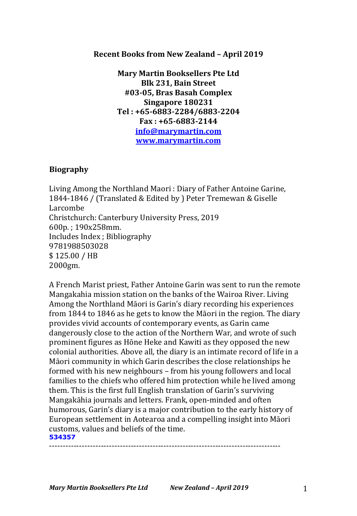## **Recent Books from New Zealand - April 2019**

**Mary Martin Booksellers Pte Ltd Blk 231, Bain Street #03-05, Bras Basah Complex Singapore 180231 Tel : +65-6883-2284/6883-2204 Fax : +65-6883-2144 info@marymartin.com www.marymartin.com**

## **Biography**

Living Among the Northland Maori : Diary of Father Antoine Garine, 1844-1846 / (Translated & Edited by ) Peter Tremewan & Giselle Larcombe Christchurch: Canterbury University Press, 2019 600p. ; 190x258mm. Includes Index ; Bibliography 9781988503028 \$ 125.00 / HB 2000gm.

A French Marist priest, Father Antoine Garin was sent to run the remote Mangakahia mission station on the banks of the Wairoa River. Living Among the Northland Māori is Garin's diary recording his experiences from 1844 to 1846 as he gets to know the Māori in the region. The diary provides vivid accounts of contemporary events, as Garin came dangerously close to the action of the Northern War, and wrote of such prominent figures as Hōne Heke and Kawiti as they opposed the new colonial authorities. Above all, the diary is an intimate record of life in a Māori community in which Garin describes the close relationships he formed with his new neighbours - from his young followers and local families to the chiefs who offered him protection while he lived among them. This is the first full English translation of Garin's surviving Mangakāhia journals and letters. Frank, open-minded and often humorous, Garin's diary is a major contribution to the early history of European settlement in Aotearoa and a compelling insight into Māori customs, values and beliefs of the time. **534357**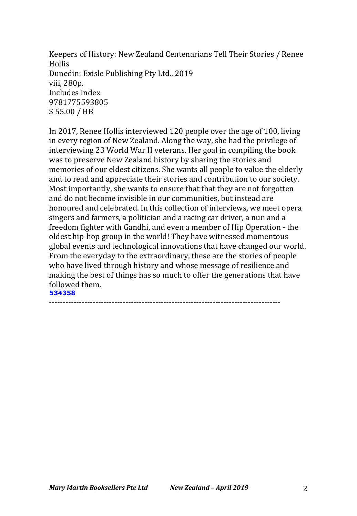Keepers of History: New Zealand Centenarians Tell Their Stories / Renee Hollis Dunedin: Exisle Publishing Pty Ltd., 2019 viii, 280p. Includes Index 9781775593805 \$ 55.00 / HB

In 2017, Renee Hollis interviewed 120 people over the age of 100, living in every region of New Zealand. Along the way, she had the privilege of interviewing 23 World War II veterans. Her goal in compiling the book was to preserve New Zealand history by sharing the stories and memories of our eldest citizens. She wants all people to value the elderly and to read and appreciate their stories and contribution to our society. Most importantly, she wants to ensure that that they are not forgotten and do not become invisible in our communities, but instead are honoured and celebrated. In this collection of interviews, we meet opera singers and farmers, a politician and a racing car driver, a nun and a freedom fighter with Gandhi, and even a member of Hip Operation - the oldest hip-hop group in the world! They have witnessed momentous global events and technological innovations that have changed our world. From the everyday to the extraordinary, these are the stories of people who have lived through history and whose message of resilience and making the best of things has so much to offer the generations that have followed them. **534358**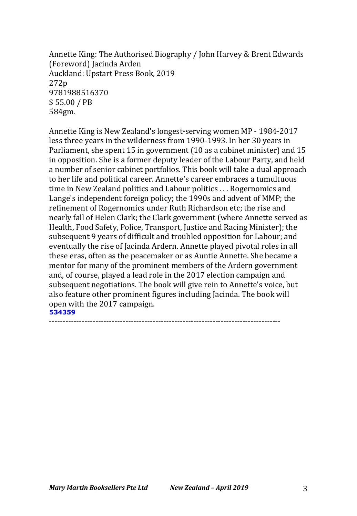Annette King: The Authorised Biography / John Harvey & Brent Edwards (Foreword) Jacinda Arden Auckland: Upstart Press Book, 2019 272p 9781988516370 \$ 55.00 / PB 584gm.

Annette King is New Zealand's longest-serving women MP - 1984-2017 less three years in the wilderness from 1990-1993. In her 30 years in Parliament, she spent 15 in government (10 as a cabinet minister) and 15 in opposition. She is a former deputy leader of the Labour Party, and held a number of senior cabinet portfolios. This book will take a dual approach to her life and political career. Annette's career embraces a tumultuous time in New Zealand politics and Labour politics . . . Rogernomics and Lange's independent foreign policy; the 1990s and advent of MMP; the refinement of Rogernomics under Ruth Richardson etc; the rise and nearly fall of Helen Clark; the Clark government (where Annette served as Health, Food Safety, Police, Transport, Justice and Racing Minister); the subsequent 9 years of difficult and troubled opposition for Labour; and eventually the rise of Jacinda Ardern. Annette played pivotal roles in all these eras, often as the peacemaker or as Auntie Annette. She became a mentor for many of the prominent members of the Ardern government and, of course, played a lead role in the 2017 election campaign and subsequent negotiations. The book will give rein to Annette's voice, but also feature other prominent figures including Jacinda. The book will open with the 2017 campaign. **534359**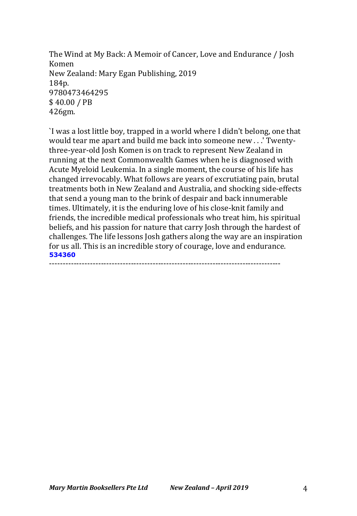The Wind at My Back: A Memoir of Cancer, Love and Endurance / Josh Komen New Zealand: Mary Egan Publishing, 2019 184p. 9780473464295 \$ 40.00 / PB 426gm.

I was a lost little boy, trapped in a world where I didn't belong, one that would tear me apart and build me back into someone new . . .' Twentythree-year-old Josh Komen is on track to represent New Zealand in running at the next Commonwealth Games when he is diagnosed with Acute Myeloid Leukemia. In a single moment, the course of his life has changed irrevocably. What follows are years of excrutiating pain, brutal treatments both in New Zealand and Australia, and shocking side-effects that send a young man to the brink of despair and back innumerable times. Ultimately, it is the enduring love of his close-knit family and friends, the incredible medical professionals who treat him, his spiritual beliefs, and his passion for nature that carry Josh through the hardest of challenges. The life lessons Josh gathers along the way are an inspiration for us all. This is an incredible story of courage, love and endurance. **534360** -------------------------------------------------------------------------------------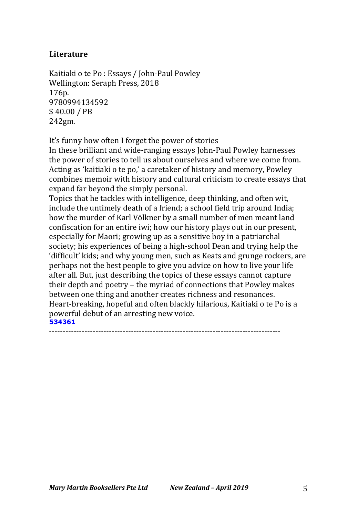# **Literature**

Kaitiaki o te Po : Essays / John-Paul Powley Wellington: Seraph Press, 2018 176p. 9780994134592 \$ 40.00 / PB 242gm.

It's funny how often I forget the power of stories

In these brilliant and wide-ranging essays John-Paul Powley harnesses the power of stories to tell us about ourselves and where we come from. Acting as 'kaitiaki o te po,' a caretaker of history and memory, Powley combines memoir with history and cultural criticism to create essays that expand far beyond the simply personal.

Topics that he tackles with intelligence, deep thinking, and often wit, include the untimely death of a friend; a school field trip around India; how the murder of Karl Völkner by a small number of men meant land confiscation for an entire iwi; how our history plays out in our present, especially for Maori; growing up as a sensitive boy in a patriarchal society; his experiences of being a high-school Dean and trying help the 'difficult' kids; and why young men, such as Keats and grunge rockers, are perhaps not the best people to give you advice on how to live your life after all. But, just describing the topics of these essays cannot capture their depth and poetry - the myriad of connections that Powley makes between one thing and another creates richness and resonances. Heart-breaking, hopeful and often blackly hilarious, Kaitiaki o te Po is a powerful debut of an arresting new voice. **534361**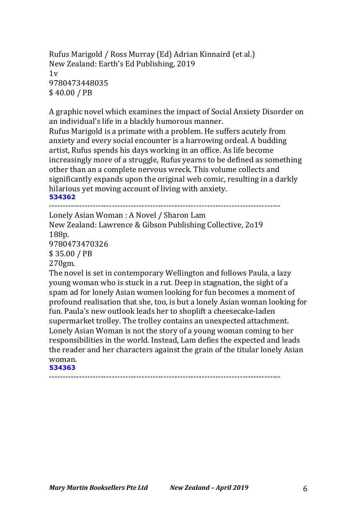Rufus Marigold / Ross Murray (Ed) Adrian Kinnaird (et al.) New Zealand: Earth's Ed Publishing, 2019  $1v$ 9780473448035 \$ 40.00 / PB

A graphic novel which examines the impact of Social Anxiety Disorder on an individual's life in a blackly humorous manner. Rufus Marigold is a primate with a problem. He suffers acutely from anxiety and every social encounter is a harrowing ordeal. A budding artist, Rufus spends his days working in an office. As life become increasingly more of a struggle, Rufus yearns to be defined as something other than an a complete nervous wreck. This volume collects and significantly expands upon the original web comic, resulting in a darkly hilarious yet moving account of living with anxiety. **534362**

-------------------------------------------------------------------------------------

Lonely Asian Woman : A Novel / Sharon Lam

New Zealand: Lawrence & Gibson Publishing Collective, 2019 188p. 9780473470326 \$ 35.00 / PB 270gm.

The novel is set in contemporary Wellington and follows Paula, a lazy young woman who is stuck in a rut. Deep in stagnation, the sight of a spam ad for lonely Asian women looking for fun becomes a moment of profound realisation that she, too, is but a lonely Asian woman looking for fun. Paula's new outlook leads her to shoplift a cheesecake-laden supermarket trolley. The trolley contains an unexpected attachment. Lonely Asian Woman is not the story of a young woman coming to her responsibilities in the world. Instead, Lam defies the expected and leads the reader and her characters against the grain of the titular lonely Asian woman.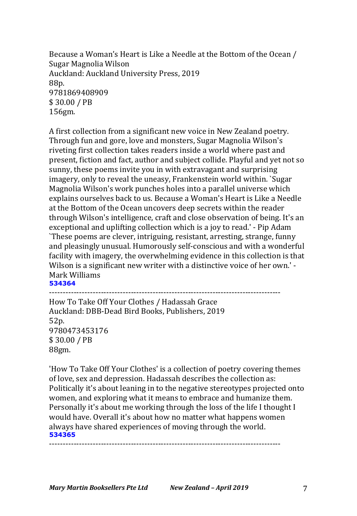Because a Woman's Heart is Like a Needle at the Bottom of the Ocean / Sugar Magnolia Wilson Auckland: Auckland University Press, 2019 88p. 9781869408909 \$ 30.00 / PB 156gm.

A first collection from a significant new voice in New Zealand poetry. Through fun and gore, love and monsters, Sugar Magnolia Wilson's riveting first collection takes readers inside a world where past and present, fiction and fact, author and subject collide. Playful and yet not so sunny, these poems invite you in with extravagant and surprising imagery, only to reveal the uneasy, Frankenstein world within. `Sugar Magnolia Wilson's work punches holes into a parallel universe which explains ourselves back to us. Because a Woman's Heart is Like a Needle at the Bottom of the Ocean uncovers deep secrets within the reader through Wilson's intelligence, craft and close observation of being. It's an exceptional and uplifting collection which is a joy to read.' - Pip Adam `These poems are clever, intriguing, resistant, arresting, strange, funny and pleasingly unusual. Humorously self-conscious and with a wonderful facility with imagery, the overwhelming evidence in this collection is that Wilson is a significant new writer with a distinctive voice of her own.' -Mark Williams **534364**

-------------------------------------------------------------------------------------

How To Take Off Your Clothes / Hadassah Grace Auckland: DBB-Dead Bird Books, Publishers, 2019 52p. 9780473453176 \$ 30.00 / PB 88gm.

'How To Take Off Your Clothes' is a collection of poetry covering themes of love, sex and depression. Hadassah describes the collection as: Politically it's about leaning in to the negative stereotypes projected onto women, and exploring what it means to embrace and humanize them. Personally it's about me working through the loss of the life I thought I would have. Overall it's about how no matter what happens women always have shared experiences of moving through the world. **534365**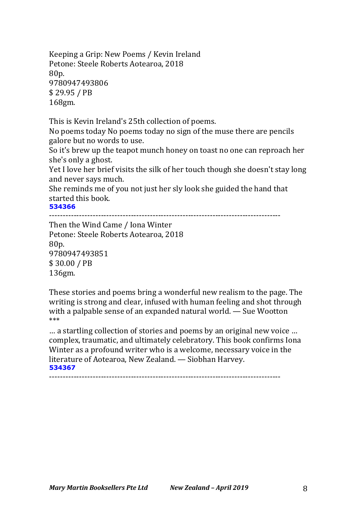Keeping a Grip: New Poems / Kevin Ireland Petone: Steele Roberts Aotearoa, 2018 80p. 9780947493806 \$ 29.95 / PB 168gm.

This is Kevin Ireland's 25th collection of poems.

No poems today No poems today no sign of the muse there are pencils galore but no words to use.

So it's brew up the teapot munch honey on toast no one can reproach her she's only a ghost.

Yet I love her brief visits the silk of her touch though she doesn't stay long and never says much.

She reminds me of you not just her sly look she guided the hand that started this book.

**534366**

-------------------------------------------------------------------------------------

Then the Wind Came / Iona Winter Petone: Steele Roberts Aotearoa, 2018 80p. 9780947493851 \$ 30.00 / PB 136gm.

These stories and poems bring a wonderful new realism to the page. The writing is strong and clear, infused with human feeling and shot through with a palpable sense of an expanded natural world.  $-$  Sue Wootton \*\*\*

... a startling collection of stories and poems by an original new voice ... complex, traumatic, and ultimately celebratory. This book confirms Iona Winter as a profound writer who is a welcome, necessary voice in the literature of Aotearoa, New Zealand. - Siobhan Harvey. **534367**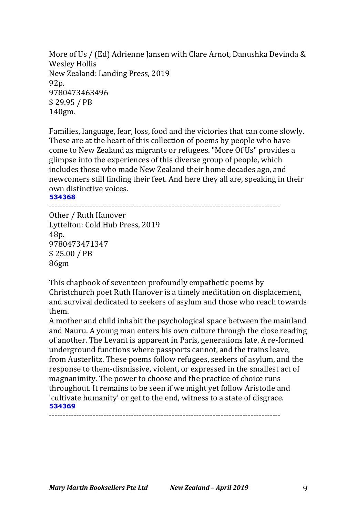More of Us / (Ed) Adrienne Jansen with Clare Arnot, Danushka Devinda & Wesley Hollis New Zealand: Landing Press, 2019 92p. 9780473463496 \$ 29.95 / PB 140gm.

Families, language, fear, loss, food and the victories that can come slowly. These are at the heart of this collection of poems by people who have come to New Zealand as migrants or refugees. "More Of Us" provides a glimpse into the experiences of this diverse group of people, which includes those who made New Zealand their home decades ago, and newcomers still finding their feet. And here they all are, speaking in their own distinctive voices.

**534368**

-------------------------------------------------------------------------------------

Other / Ruth Hanover Lyttelton: Cold Hub Press, 2019 48p. 9780473471347 \$ 25.00 / PB 86gm

This chapbook of seventeen profoundly empathetic poems by Christchurch poet Ruth Hanover is a timely meditation on displacement, and survival dedicated to seekers of asylum and those who reach towards them.

A mother and child inhabit the psychological space between the mainland and Nauru. A young man enters his own culture through the close reading of another. The Levant is apparent in Paris, generations late. A re-formed underground functions where passports cannot, and the trains leave, from Austerlitz. These poems follow refugees, seekers of asylum, and the response to them-dismissive, violent, or expressed in the smallest act of magnanimity. The power to choose and the practice of choice runs throughout. It remains to be seen if we might yet follow Aristotle and 'cultivate humanity' or get to the end, witness to a state of disgrace. **534369**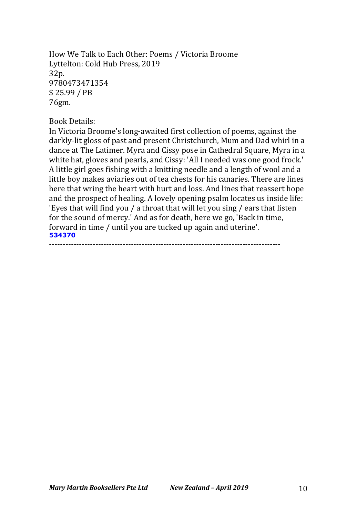How We Talk to Each Other: Poems / Victoria Broome Lyttelton: Cold Hub Press, 2019 32p. 9780473471354 \$ 25.99 / PB 76gm.

#### Book Details:

In Victoria Broome's long-awaited first collection of poems, against the darkly-lit gloss of past and present Christchurch, Mum and Dad whirl in a dance at The Latimer. Myra and Cissy pose in Cathedral Square, Myra in a white hat, gloves and pearls, and Cissy: 'All I needed was one good frock.' A little girl goes fishing with a knitting needle and a length of wool and a little boy makes aviaries out of tea chests for his canaries. There are lines here that wring the heart with hurt and loss. And lines that reassert hope and the prospect of healing. A lovely opening psalm locates us inside life: 'Eyes that will find you / a throat that will let you sing / ears that listen for the sound of mercy.' And as for death, here we go, 'Back in time, forward in time / until you are tucked up again and uterine'. **534370** -------------------------------------------------------------------------------------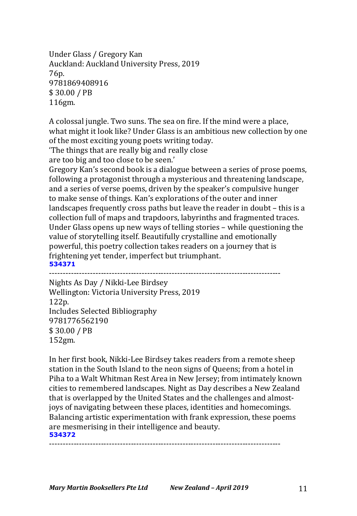Under Glass / Gregory Kan Auckland: Auckland University Press, 2019 76p. 9781869408916 \$ 30.00 / PB 116gm.

A colossal jungle. Two suns. The sea on fire. If the mind were a place, what might it look like? Under Glass is an ambitious new collection by one of the most exciting young poets writing today.

The things that are really big and really close

are too big and too close to be seen.'

Gregory Kan's second book is a dialogue between a series of prose poems, following a protagonist through a mysterious and threatening landscape, and a series of verse poems, driven by the speaker's compulsive hunger to make sense of things. Kan's explorations of the outer and inner landscapes frequently cross paths but leave the reader in doubt - this is a collection full of maps and trapdoors, labyrinths and fragmented traces. Under Glass opens up new ways of telling stories - while questioning the value of storytelling itself. Beautifully crystalline and emotionally powerful, this poetry collection takes readers on a journey that is frightening yet tender, imperfect but triumphant. **534371**

-------------------------------------------------------------------------------------

Nights As Day / Nikki-Lee Birdsey Wellington: Victoria University Press, 2019 122p. Includes Selected Bibliography 9781776562190 \$ 30.00 / PB 152gm.

In her first book, Nikki-Lee Birdsey takes readers from a remote sheep station in the South Island to the neon signs of Queens; from a hotel in Piha to a Walt Whitman Rest Area in New Jersey; from intimately known cities to remembered landscapes. Night as Day describes a New Zealand that is overlapped by the United States and the challenges and almostjoys of navigating between these places, identities and homecomings. Balancing artistic experimentation with frank expression, these poems are mesmerising in their intelligence and beauty. **534372**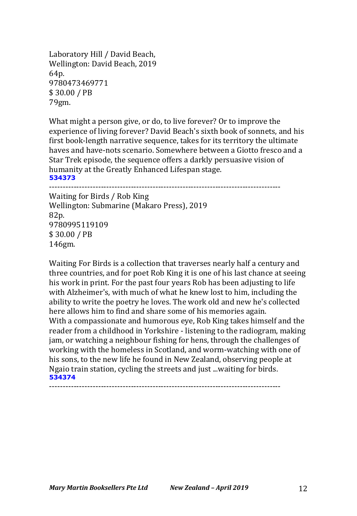Laboratory Hill / David Beach, Wellington: David Beach, 2019 64p. 9780473469771 \$ 30.00 / PB 79gm.

What might a person give, or do, to live forever? Or to improve the experience of living forever? David Beach's sixth book of sonnets, and his first book-length narrative sequence, takes for its territory the ultimate haves and have-nots scenario. Somewhere between a Giotto fresco and a Star Trek episode, the sequence offers a darkly persuasive vision of humanity at the Greatly Enhanced Lifespan stage. **534373**

-------------------------------------------------------------------------------------

Waiting for Birds / Rob King Wellington: Submarine (Makaro Press), 2019 82p. 9780995119109 \$ 30.00 / PB 146gm.

Waiting For Birds is a collection that traverses nearly half a century and three countries, and for poet Rob King it is one of his last chance at seeing his work in print. For the past four years Rob has been adjusting to life with Alzheimer's, with much of what he knew lost to him, including the ability to write the poetry he loves. The work old and new he's collected here allows him to find and share some of his memories again. With a compassionate and humorous eye, Rob King takes himself and the reader from a childhood in Yorkshire - listening to the radiogram, making jam, or watching a neighbour fishing for hens, through the challenges of working with the homeless in Scotland, and worm-watching with one of his sons, to the new life he found in New Zealand, observing people at Ngaio train station, cycling the streets and just ...waiting for birds. **534374**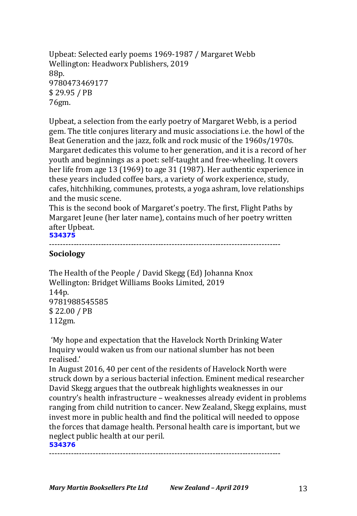Upbeat: Selected early poems 1969-1987 / Margaret Webb Wellington: Headworx Publishers, 2019 88p. 9780473469177 \$ 29.95 / PB 76gm.

Upbeat, a selection from the early poetry of Margaret Webb, is a period gem. The title conjures literary and music associations i.e. the howl of the Beat Generation and the jazz, folk and rock music of the 1960s/1970s. Margaret dedicates this volume to her generation, and it is a record of her youth and beginnings as a poet: self-taught and free-wheeling. It covers her life from age 13 (1969) to age 31 (1987). Her authentic experience in these years included coffee bars, a variety of work experience, study, cafes, hitchhiking, communes, protests, a yoga ashram, love relationships and the music scene.

This is the second book of Margaret's poetry. The first, Flight Paths by Margaret Jeune (her later name), contains much of her poetry written after Upbeat. **534375** 

```
-------------------------------------------------------------------------------------
```
# **Sociology**

The Health of the People / David Skegg (Ed) Johanna Knox Wellington: Bridget Williams Books Limited, 2019 144p. 9781988545585 \$ 22.00 / PB 112gm.

'My hope and expectation that the Havelock North Drinking Water Inquiry would waken us from our national slumber has not been realised.'

In August 2016, 40 per cent of the residents of Havelock North were struck down by a serious bacterial infection. Eminent medical researcher David Skegg argues that the outbreak highlights weaknesses in our country's health infrastructure - weaknesses already evident in problems ranging from child nutrition to cancer. New Zealand, Skegg explains, must invest more in public health and find the political will needed to oppose the forces that damage health. Personal health care is important, but we neglect public health at our peril. **534376**